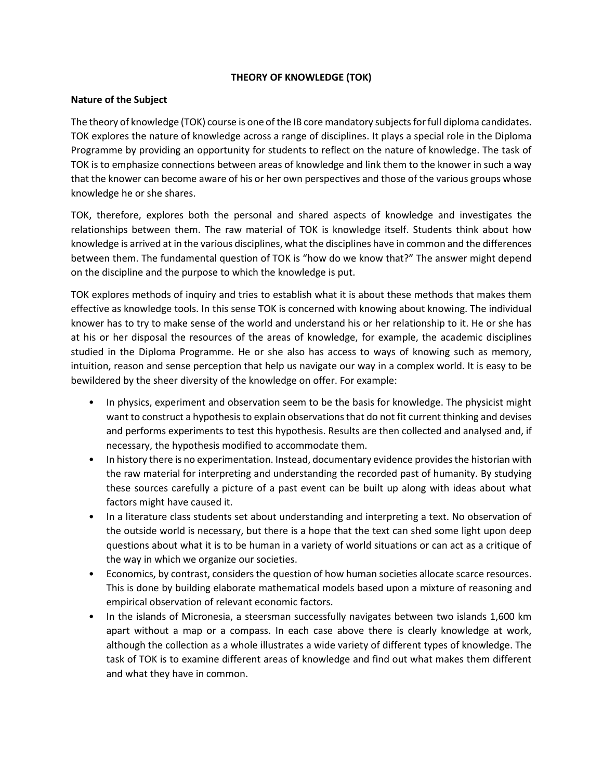## **THEORY OF KNOWLEDGE (TOK)**

# **Nature of the Subject**

The theory of knowledge (TOK) course is one of the IB core mandatory subjects for full diploma candidates. TOK explores the nature of knowledge across a range of disciplines. It plays a special role in the Diploma Programme by providing an opportunity for students to reflect on the nature of knowledge. The task of TOK is to emphasize connections between areas of knowledge and link them to the knower in such a way that the knower can become aware of his or her own perspectives and those of the various groups whose knowledge he or she shares.

TOK, therefore, explores both the personal and shared aspects of knowledge and investigates the relationships between them. The raw material of TOK is knowledge itself. Students think about how knowledge is arrived at in the various disciplines, what the disciplines have in common and the differences between them. The fundamental question of TOK is "how do we know that?" The answer might depend on the discipline and the purpose to which the knowledge is put.

TOK explores methods of inquiry and tries to establish what it is about these methods that makes them effective as knowledge tools. In this sense TOK is concerned with knowing about knowing. The individual knower has to try to make sense of the world and understand his or her relationship to it. He or she has at his or her disposal the resources of the areas of knowledge, for example, the academic disciplines studied in the Diploma Programme. He or she also has access to ways of knowing such as memory, intuition, reason and sense perception that help us navigate our way in a complex world. It is easy to be bewildered by the sheer diversity of the knowledge on offer. For example:

- In physics, experiment and observation seem to be the basis for knowledge. The physicist might want to construct a hypothesis to explain observations that do not fit current thinking and devises and performs experiments to test this hypothesis. Results are then collected and analysed and, if necessary, the hypothesis modified to accommodate them.
- In history there is no experimentation. Instead, documentary evidence provides the historian with the raw material for interpreting and understanding the recorded past of humanity. By studying these sources carefully a picture of a past event can be built up along with ideas about what factors might have caused it.
- In a literature class students set about understanding and interpreting a text. No observation of the outside world is necessary, but there is a hope that the text can shed some light upon deep questions about what it is to be human in a variety of world situations or can act as a critique of the way in which we organize our societies.
- Economics, by contrast, considers the question of how human societies allocate scarce resources. This is done by building elaborate mathematical models based upon a mixture of reasoning and empirical observation of relevant economic factors.
- In the islands of Micronesia, a steersman successfully navigates between two islands 1,600 km apart without a map or a compass. In each case above there is clearly knowledge at work, although the collection as a whole illustrates a wide variety of different types of knowledge. The task of TOK is to examine different areas of knowledge and find out what makes them different and what they have in common.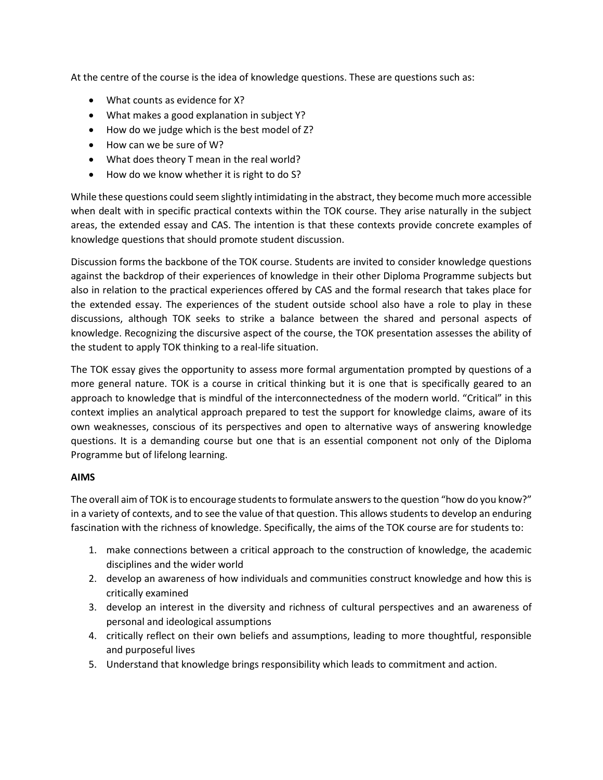At the centre of the course is the idea of knowledge questions. These are questions such as:

- What counts as evidence for X?
- What makes a good explanation in subject Y?
- How do we judge which is the best model of Z?
- How can we be sure of W?
- What does theory T mean in the real world?
- How do we know whether it is right to do S?

While these questions could seem slightly intimidating in the abstract, they become much more accessible when dealt with in specific practical contexts within the TOK course. They arise naturally in the subject areas, the extended essay and CAS. The intention is that these contexts provide concrete examples of knowledge questions that should promote student discussion.

Discussion forms the backbone of the TOK course. Students are invited to consider knowledge questions against the backdrop of their experiences of knowledge in their other Diploma Programme subjects but also in relation to the practical experiences offered by CAS and the formal research that takes place for the extended essay. The experiences of the student outside school also have a role to play in these discussions, although TOK seeks to strike a balance between the shared and personal aspects of knowledge. Recognizing the discursive aspect of the course, the TOK presentation assesses the ability of the student to apply TOK thinking to a real-life situation.

The TOK essay gives the opportunity to assess more formal argumentation prompted by questions of a more general nature. TOK is a course in critical thinking but it is one that is specifically geared to an approach to knowledge that is mindful of the interconnectedness of the modern world. "Critical" in this context implies an analytical approach prepared to test the support for knowledge claims, aware of its own weaknesses, conscious of its perspectives and open to alternative ways of answering knowledge questions. It is a demanding course but one that is an essential component not only of the Diploma Programme but of lifelong learning.

## **AIMS**

The overall aim of TOK is to encourage students to formulate answers to the question "how do you know?" in a variety of contexts, and to see the value of that question. This allows students to develop an enduring fascination with the richness of knowledge. Specifically, the aims of the TOK course are for students to:

- 1. make connections between a critical approach to the construction of knowledge, the academic disciplines and the wider world
- 2. develop an awareness of how individuals and communities construct knowledge and how this is critically examined
- 3. develop an interest in the diversity and richness of cultural perspectives and an awareness of personal and ideological assumptions
- 4. critically reflect on their own beliefs and assumptions, leading to more thoughtful, responsible and purposeful lives
- 5. Understand that knowledge brings responsibility which leads to commitment and action.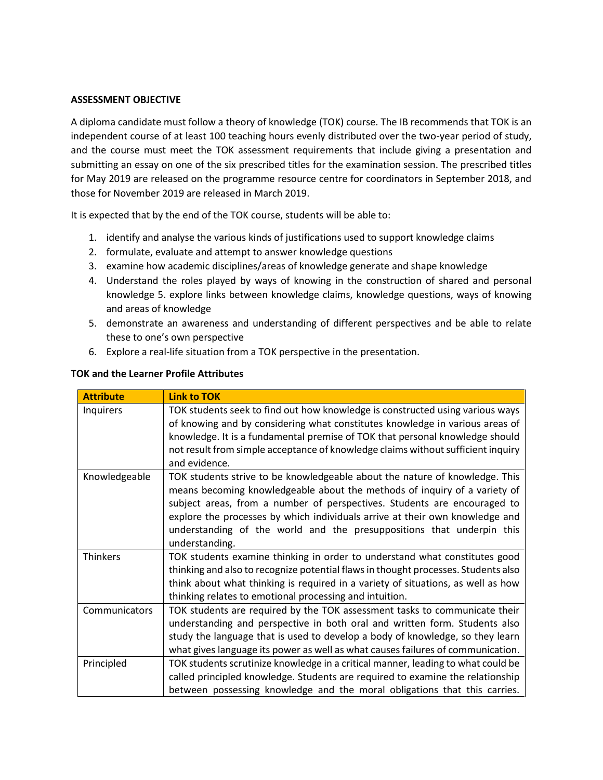#### **ASSESSMENT OBJECTIVE**

A diploma candidate must follow a theory of knowledge (TOK) course. The IB recommends that TOK is an independent course of at least 100 teaching hours evenly distributed over the two-year period of study, and the course must meet the TOK assessment requirements that include giving a presentation and submitting an essay on one of the six prescribed titles for the examination session. The prescribed titles for May 2019 are released on the programme resource centre for coordinators in September 2018, and those for November 2019 are released in March 2019.

It is expected that by the end of the TOK course, students will be able to:

- 1. identify and analyse the various kinds of justifications used to support knowledge claims
- 2. formulate, evaluate and attempt to answer knowledge questions
- 3. examine how academic disciplines/areas of knowledge generate and shape knowledge
- 4. Understand the roles played by ways of knowing in the construction of shared and personal knowledge 5. explore links between knowledge claims, knowledge questions, ways of knowing and areas of knowledge
- 5. demonstrate an awareness and understanding of different perspectives and be able to relate these to one's own perspective
- 6. Explore a real-life situation from a TOK perspective in the presentation.

| <b>Attribute</b> | <b>Link to TOK</b>                                                                                                                                                                                                                                                                                                                                                                                              |
|------------------|-----------------------------------------------------------------------------------------------------------------------------------------------------------------------------------------------------------------------------------------------------------------------------------------------------------------------------------------------------------------------------------------------------------------|
| Inquirers        | TOK students seek to find out how knowledge is constructed using various ways<br>of knowing and by considering what constitutes knowledge in various areas of<br>knowledge. It is a fundamental premise of TOK that personal knowledge should<br>not result from simple acceptance of knowledge claims without sufficient inquiry<br>and evidence.                                                              |
| Knowledgeable    | TOK students strive to be knowledgeable about the nature of knowledge. This<br>means becoming knowledgeable about the methods of inquiry of a variety of<br>subject areas, from a number of perspectives. Students are encouraged to<br>explore the processes by which individuals arrive at their own knowledge and<br>understanding of the world and the presuppositions that underpin this<br>understanding. |
| <b>Thinkers</b>  | TOK students examine thinking in order to understand what constitutes good<br>thinking and also to recognize potential flaws in thought processes. Students also<br>think about what thinking is required in a variety of situations, as well as how<br>thinking relates to emotional processing and intuition.                                                                                                 |
| Communicators    | TOK students are required by the TOK assessment tasks to communicate their<br>understanding and perspective in both oral and written form. Students also<br>study the language that is used to develop a body of knowledge, so they learn<br>what gives language its power as well as what causes failures of communication.                                                                                    |
| Principled       | TOK students scrutinize knowledge in a critical manner, leading to what could be<br>called principled knowledge. Students are required to examine the relationship<br>between possessing knowledge and the moral obligations that this carries.                                                                                                                                                                 |

#### **TOK and the Learner Profile Attributes**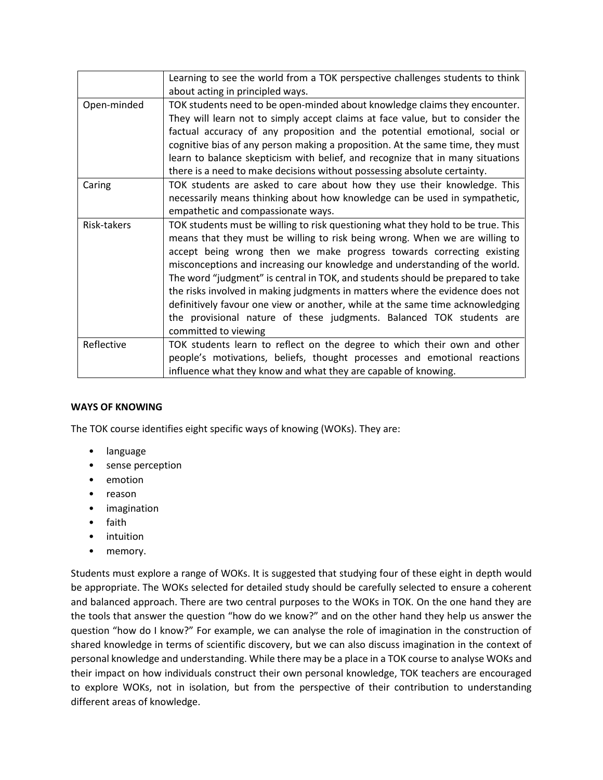| Learning to see the world from a TOK perspective challenges students to think    |
|----------------------------------------------------------------------------------|
| about acting in principled ways.                                                 |
| TOK students need to be open-minded about knowledge claims they encounter.       |
| They will learn not to simply accept claims at face value, but to consider the   |
| factual accuracy of any proposition and the potential emotional, social or       |
| cognitive bias of any person making a proposition. At the same time, they must   |
| learn to balance skepticism with belief, and recognize that in many situations   |
| there is a need to make decisions without possessing absolute certainty.         |
| TOK students are asked to care about how they use their knowledge. This          |
| necessarily means thinking about how knowledge can be used in sympathetic,       |
| empathetic and compassionate ways.                                               |
| TOK students must be willing to risk questioning what they hold to be true. This |
| means that they must be willing to risk being wrong. When we are willing to      |
| accept being wrong then we make progress towards correcting existing             |
| misconceptions and increasing our knowledge and understanding of the world.      |
| The word "judgment" is central in TOK, and students should be prepared to take   |
| the risks involved in making judgments in matters where the evidence does not    |
| definitively favour one view or another, while at the same time acknowledging    |
| the provisional nature of these judgments. Balanced TOK students are             |
| committed to viewing                                                             |
| TOK students learn to reflect on the degree to which their own and other         |
| people's motivations, beliefs, thought processes and emotional reactions         |
| influence what they know and what they are capable of knowing.                   |
|                                                                                  |

## **WAYS OF KNOWING**

The TOK course identifies eight specific ways of knowing (WOKs). They are:

- language
- sense perception
- emotion
- reason
- imagination
- faith
- intuition
- memory.

Students must explore a range of WOKs. It is suggested that studying four of these eight in depth would be appropriate. The WOKs selected for detailed study should be carefully selected to ensure a coherent and balanced approach. There are two central purposes to the WOKs in TOK. On the one hand they are the tools that answer the question "how do we know?" and on the other hand they help us answer the question "how do I know?" For example, we can analyse the role of imagination in the construction of shared knowledge in terms of scientific discovery, but we can also discuss imagination in the context of personal knowledge and understanding. While there may be a place in a TOK course to analyse WOKs and their impact on how individuals construct their own personal knowledge, TOK teachers are encouraged to explore WOKs, not in isolation, but from the perspective of their contribution to understanding different areas of knowledge.